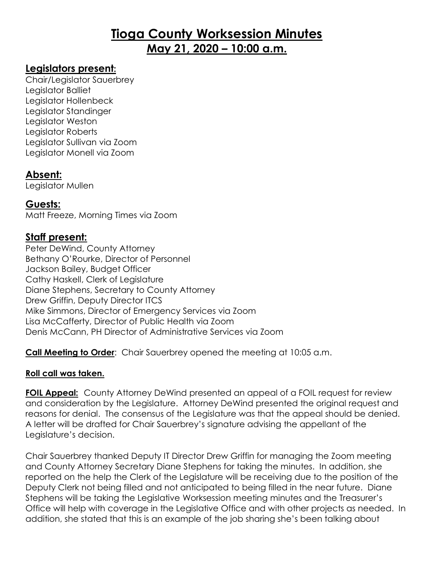# **Tioga County Worksession Minutes May 21, 2020 – 10:00 a.m.**

#### **Legislators present:**

Chair/Legislator Sauerbrey Legislator Balliet Legislator Hollenbeck Legislator Standinger Legislator Weston Legislator Roberts Legislator Sullivan via Zoom Legislator Monell via Zoom

## **Absent:**

Legislator Mullen

## **Guests:**

Matt Freeze, Morning Times via Zoom

## **Staff present:**

Peter DeWind, County Attorney Bethany O'Rourke, Director of Personnel Jackson Bailey, Budget Officer Cathy Haskell, Clerk of Legislature Diane Stephens, Secretary to County Attorney Drew Griffin, Deputy Director ITCS Mike Simmons, Director of Emergency Services via Zoom Lisa McCafferty, Director of Public Health via Zoom Denis McCann, PH Director of Administrative Services via Zoom

**Call Meeting to Order**: Chair Sauerbrey opened the meeting at 10:05 a.m.

#### **Roll call was taken.**  Ē,

**FOIL Appeal:** County Attorney DeWind presented an appeal of a FOIL request for review and consideration by the Legislature. Attorney DeWind presented the original request and reasons for denial. The consensus of the Legislature was that the appeal should be denied. A letter will be drafted for Chair Sauerbrey's signature advising the appellant of the Legislature's decision.

Chair Sauerbrey thanked Deputy IT Director Drew Griffin for managing the Zoom meeting and County Attorney Secretary Diane Stephens for taking the minutes. In addition, she reported on the help the Clerk of the Legislature will be receiving due to the position of the Deputy Clerk not being filled and not anticipated to being filled in the near future. Diane Stephens will be taking the Legislative Worksession meeting minutes and the Treasurer's Office will help with coverage in the Legislative Office and with other projects as needed. In addition, she stated that this is an example of the job sharing she's been talking about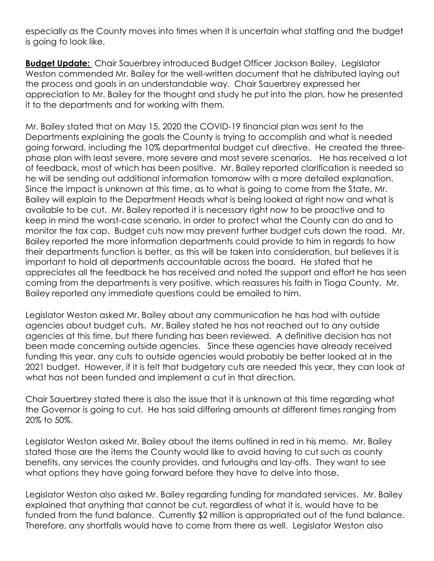especially as the County moves into times when it is uncertain what staffing and the budget is going to look like.

**Budget Update:** Chair Sauerbrey introduced Budget Officer Jackson Bailey. Legislator Weston commended Mr. Bailey for the well-written document that he distributed laying out the process and goals in an understandable way. Chair Sauerbrey expressed her appreciation to Mr. Bailey for the thought and study he put into the plan, how he presented it to the departments and for working with them.

Mr. Bailey stated that on May 15, 2020 the COVID-19 financial plan was sent to the Departments explaining the goals the County is trying to accomplish and what is needed going forward, including the 10% departmental budget cut directive. He created the threephase plan with least severe, more severe and most severe scenarios. He has received a lot of feedback, most of which has been positive. Mr. Bailey reported clarification is needed so he will be sending out additional information tomorrow with a more detailed explanation. Since the impact is unknown at this time, as to what is going to come from the State, Mr. Bailey will explain to the Department Heads what is being looked at right now and what is available to be cut. Mr. Bailey reported it is necessary right now to be proactive and to keep in mind the worst-case scenario, in order to protect what the County can do and to monitor the tax cap. Budget cuts now may prevent further budget cuts down the road. Mr. Bailey reported the more information departments could provide to him in regards to how their departments function is better, as this will be taken into consideration, but believes it is important to hold all departments accountable across the board. He stated that he appreciates all the feedback he has received and noted the support and effort he has seen coming from the departments is very positive, which reassures his faith in Tioga County. Mr. Bailey reported any immediate questions could be emailed to him.

Legislator Weston asked Mr. Bailey about any communication he has had with outside agencies about budget cuts. Mr. Bailey stated he has not reached out to any outside agencies at this time, but there funding has been reviewed. A definitive decision has not been made concerning outside agencies. Since these agencies have already received funding this year, any cuts to outside agencies would probably be better looked at in the 2021 budget. However, if it is felt that budgetary cuts are needed this year, they can look at what has not been funded and implement a cut in that direction.

Chair Sauerbrey stated there is also the issue that it is unknown at this time regarding what the Governor is going to cut. He has said differing amounts at different times ranging from 20% to 50%.

Legislator Weston asked Mr. Bailey about the items outlined in red in his memo. Mr. Bailey stated those are the items the County would like to avoid having to cut such as county benefits, any services the county provides, and furloughs and lay-offs. They want to see what options they have going forward before they have to delve into those.

Legislator Weston also asked Mr. Bailey regarding funding for mandated services. Mr. Bailey explained that anything that cannot be cut, regardless of what it is, would have to be funded from the fund balance. Currently \$2 million is appropriated out of the fund balance. Therefore, any shortfalls would have to come from there as well. Legislator Weston also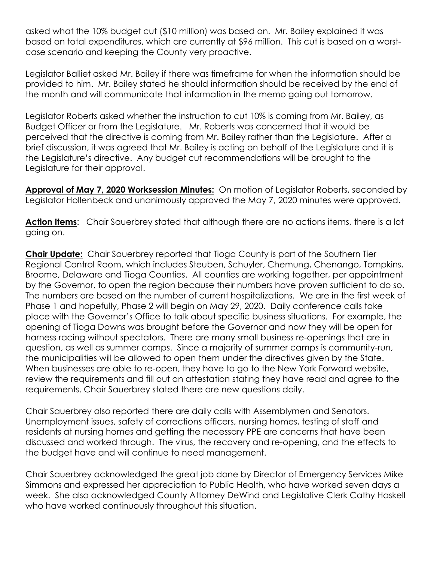asked what the 10% budget cut (\$10 million) was based on. Mr. Bailey explained it was based on total expenditures, which are currently at \$96 million. This cut is based on a worstcase scenario and keeping the County very proactive.

Legislator Balliet asked Mr. Bailey if there was timeframe for when the information should be provided to him. Mr. Bailey stated he should information should be received by the end of the month and will communicate that information in the memo going out tomorrow.

Legislator Roberts asked whether the instruction to cut 10% is coming from Mr. Bailey, as Budget Officer or from the Legislature. Mr. Roberts was concerned that it would be perceived that the directive is coming from Mr. Bailey rather than the Legislature. After a brief discussion, it was agreed that Mr. Bailey is acting on behalf of the Legislature and it is the Legislature's directive. Any budget cut recommendations will be brought to the Legislature for their approval.

**Approval of May 7, 2020 Worksession Minutes:** On motion of Legislator Roberts, seconded by Legislator Hollenbeck and unanimously approved the May 7, 2020 minutes were approved.

Action Items: Chair Sauerbrey stated that although there are no actions items, there is a lot going on.

**Chair Update:** Chair Sauerbrey reported that Tioga County is part of the Southern Tier Regional Control Room, which includes Steuben, Schuyler, Chemung, Chenango, Tompkins, Broome, Delaware and Tioga Counties. All counties are working together, per appointment by the Governor, to open the region because their numbers have proven sufficient to do so. The numbers are based on the number of current hospitalizations. We are in the first week of Phase 1 and hopefully, Phase 2 will begin on May 29, 2020. Daily conference calls take place with the Governor's Office to talk about specific business situations. For example, the opening of Tioga Downs was brought before the Governor and now they will be open for harness racing without spectators. There are many small business re-openings that are in question, as well as summer camps. Since a majority of summer camps is community-run, the municipalities will be allowed to open them under the directives given by the State. When businesses are able to re-open, they have to go to the New York Forward website, review the requirements and fill out an attestation stating they have read and agree to the requirements. Chair Sauerbrey stated there are new questions daily.

Chair Sauerbrey also reported there are daily calls with Assemblymen and Senators. Unemployment issues, safety of corrections officers, nursing homes, testing of staff and residents at nursing homes and getting the necessary PPE are concerns that have been discussed and worked through. The virus, the recovery and re-opening, and the effects to the budget have and will continue to need management.

Chair Sauerbrey acknowledged the great job done by Director of Emergency Services Mike Simmons and expressed her appreciation to Public Health, who have worked seven days a week. She also acknowledged County Attorney DeWind and Legislative Clerk Cathy Haskell who have worked continuously throughout this situation.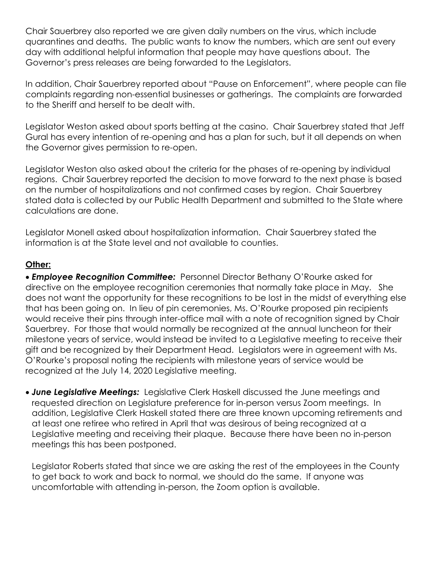Chair Sauerbrey also reported we are given daily numbers on the virus, which include quarantines and deaths. The public wants to know the numbers, which are sent out every day with additional helpful information that people may have questions about. The Governor's press releases are being forwarded to the Legislators.

In addition, Chair Sauerbrey reported about "Pause on Enforcement", where people can file complaints regarding non-essential businesses or gatherings. The complaints are forwarded to the Sheriff and herself to be dealt with.

Legislator Weston asked about sports betting at the casino. Chair Sauerbrey stated that Jeff Gural has every intention of re-opening and has a plan for such, but it all depends on when the Governor gives permission to re-open.

Legislator Weston also asked about the criteria for the phases of re-opening by individual regions. Chair Sauerbrey reported the decision to move forward to the next phase is based on the number of hospitalizations and not confirmed cases by region. Chair Sauerbrey stated data is collected by our Public Health Department and submitted to the State where calculations are done.

Legislator Monell asked about hospitalization information. Chair Sauerbrey stated the information is at the State level and not available to counties.

#### **Other:**

 *Employee Recognition Committee:* Personnel Director Bethany O'Rourke asked for directive on the employee recognition ceremonies that normally take place in May. She does not want the opportunity for these recognitions to be lost in the midst of everything else that has been going on. In lieu of pin ceremonies, Ms. O'Rourke proposed pin recipients would receive their pins through inter-office mail with a note of recognition signed by Chair Sauerbrey. For those that would normally be recognized at the annual luncheon for their milestone years of service, would instead be invited to a Legislative meeting to receive their gift and be recognized by their Department Head. Legislators were in agreement with Ms. O'Rourke's proposal noting the recipients with milestone years of service would be recognized at the July 14, 2020 Legislative meeting.

 *June Legislative Meetings:* Legislative Clerk Haskell discussed the June meetings and requested direction on Legislature preference for in-person versus Zoom meetings. In addition, Legislative Clerk Haskell stated there are three known upcoming retirements and at least one retiree who retired in April that was desirous of being recognized at a Legislative meeting and receiving their plaque. Because there have been no in-person meetings this has been postponed.

Legislator Roberts stated that since we are asking the rest of the employees in the County to get back to work and back to normal, we should do the same. If anyone was uncomfortable with attending in-person, the Zoom option is available.